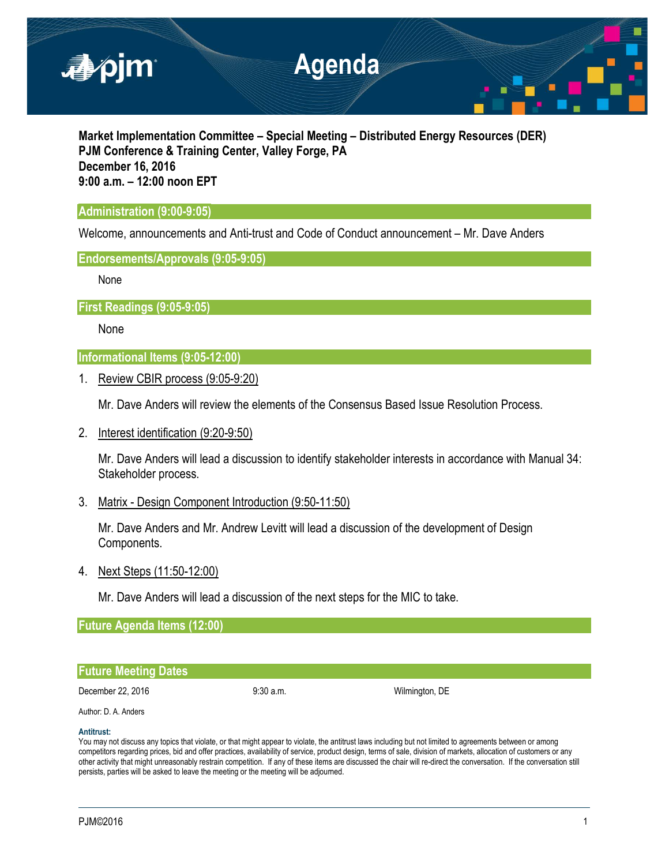

**Market Implementation Committee – Special Meeting – Distributed Energy Resources (DER) PJM Conference & Training Center, Valley Forge, PA December 16, 2016 9:00 a.m. – 12:00 noon EPT**

# **Administration (9:00-9:05)**

Welcome, announcements and Anti-trust and Code of Conduct announcement – Mr. Dave Anders

## **Endorsements/Approvals (9:05-9:05)**

None

**First Readings (9:05-9:05)**

None

**Informational Items (9:05-12:00)**

1. Review CBIR process (9:05-9:20)

Mr. Dave Anders will review the elements of the Consensus Based Issue Resolution Process.

2. Interest identification (9:20-9:50)

Mr. Dave Anders will lead a discussion to identify stakeholder interests in accordance with Manual 34: Stakeholder process.

3. Matrix - Design Component Introduction (9:50-11:50)

Mr. Dave Anders and Mr. Andrew Levitt will lead a discussion of the development of Design Components.

4. Next Steps (11:50-12:00)

Mr. Dave Anders will lead a discussion of the next steps for the MIC to take.

**Future Agenda Items (12:00)**

## **Future Meeting Dates**

December 22, 2016 **9:30 a.m.** 9:30 a.m. Wilmington, DE

# Author: D. A. Anders

### **Antitrust:**

You may not discuss any topics that violate, or that might appear to violate, the antitrust laws including but not limited to agreements between or among competitors regarding prices, bid and offer practices, availability of service, product design, terms of sale, division of markets, allocation of customers or any other activity that might unreasonably restrain competition. If any of these items are discussed the chair will re-direct the conversation. If the conversation still persists, parties will be asked to leave the meeting or the meeting will be adjourned.